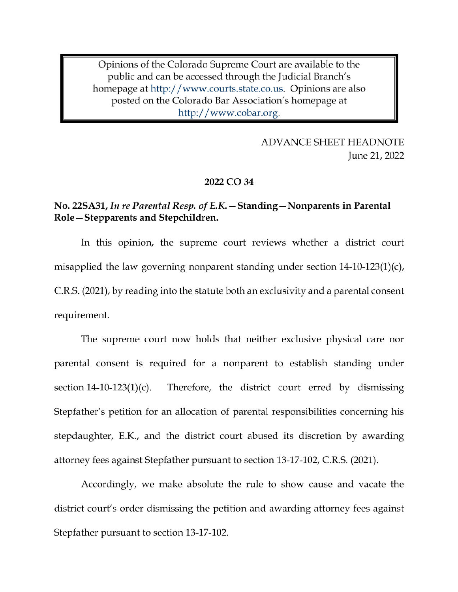Opinions of the Colorado Supreme Court are available to the public and can be accessed through the Judicial Branch's homepage at http://www.courts.state.co.us. Opinions are also posted on the Colorado Bar Association's homepage at http://www.cobar.org.

> **ADVANCE SHEET HEADNOTE** June 21, 2022

#### 2022 CO 34

## No. 22SA31, In re Parental Resp. of E.K. - Standing - Nonparents in Parental Role-Stepparents and Stepchildren.

In this opinion, the supreme court reviews whether a district court misapplied the law governing nonparent standing under section  $14-10-123(1)(c)$ , C.R.S. (2021), by reading into the statute both an exclusivity and a parental consent requirement.

The supreme court now holds that neither exclusive physical care nor parental consent is required for a nonparent to establish standing under section  $14-10-123(1)(c)$ . Therefore, the district court erred by dismissing Stepfather's petition for an allocation of parental responsibilities concerning his stepdaughter, E.K., and the district court abused its discretion by awarding attorney fees against Stepfather pursuant to section 13-17-102, C.R.S. (2021).

Accordingly, we make absolute the rule to show cause and vacate the district court's order dismissing the petition and awarding attorney fees against Stepfather pursuant to section 13-17-102.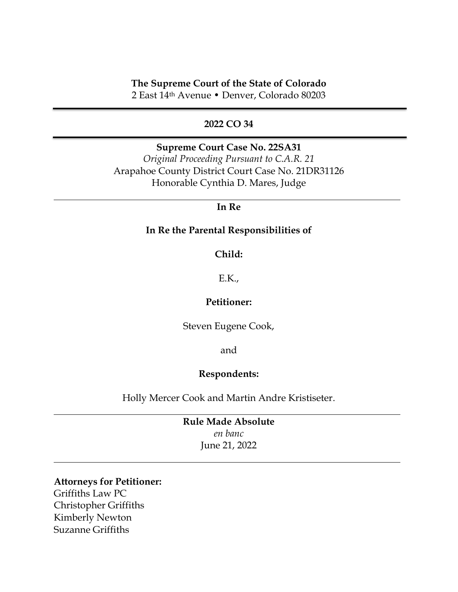## **The Supreme Court of the State of Colorado**

2 East 14th Avenue • Denver, Colorado 80203

### **2022 CO 34**

**Supreme Court Case No. 22SA31** *Original Proceeding Pursuant to C.A.R. 21* Arapahoe County District Court Case No. 21DR31126 Honorable Cynthia D. Mares, Judge

## **In Re**

### **In Re the Parental Responsibilities of**

#### **Child:**

### E.K.,

## **Petitioner:**

Steven Eugene Cook,

and

## **Respondents:**

Holly Mercer Cook and Martin Andre Kristiseter.

**Rule Made Absolute** *en banc* June 21, 2022

#### **Attorneys for Petitioner:**

Griffiths Law PC Christopher Griffiths Kimberly Newton Suzanne Griffiths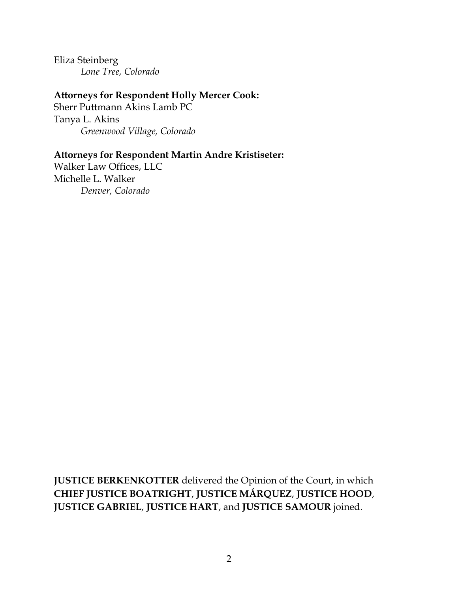Eliza Steinberg *Lone Tree, Colorado*

# **Attorneys for Respondent Holly Mercer Cook:**

Sherr Puttmann Akins Lamb PC Tanya L. Akins *Greenwood Village, Colorado*

# **Attorneys for Respondent Martin Andre Kristiseter:**

Walker Law Offices, LLC Michelle L. Walker *Denver, Colorado*

**JUSTICE BERKENKOTTER** delivered the Opinion of the Court, in which **CHIEF JUSTICE BOATRIGHT**, **JUSTICE MÁRQUEZ**, **JUSTICE HOOD**, **JUSTICE GABRIEL**, **JUSTICE HART**, and **JUSTICE SAMOUR** joined.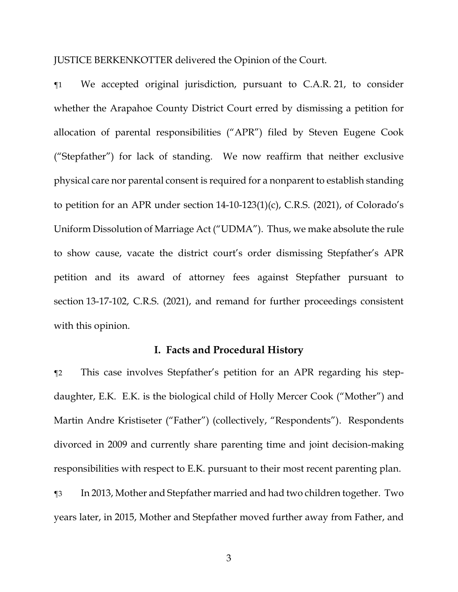JUSTICE BERKENKOTTER delivered the Opinion of the Court.

¶1 We accepted original jurisdiction, pursuant to C.A.R. 21, to consider whether the Arapahoe County District Court erred by dismissing a petition for allocation of parental responsibilities ("APR") filed by Steven Eugene Cook ("Stepfather") for lack of standing. We now reaffirm that neither exclusive physical care nor parental consent is required for a nonparent to establish standing to petition for an APR under section 14-10-123(1)(c), C.R.S. (2021), of Colorado's Uniform Dissolution of Marriage Act ("UDMA"). Thus, we make absolute the rule to show cause, vacate the district court's order dismissing Stepfather's APR petition and its award of attorney fees against Stepfather pursuant to section 13-17-102, C.R.S. (2021), and remand for further proceedings consistent with this opinion.

### **I. Facts and Procedural History**

¶2 This case involves Stepfather's petition for an APR regarding his stepdaughter, E.K. E.K. is the biological child of Holly Mercer Cook ("Mother") and Martin Andre Kristiseter ("Father") (collectively, "Respondents"). Respondents divorced in 2009 and currently share parenting time and joint decision-making responsibilities with respect to E.K. pursuant to their most recent parenting plan.

¶3 In 2013, Mother and Stepfather married and had two children together. Two years later, in 2015, Mother and Stepfather moved further away from Father, and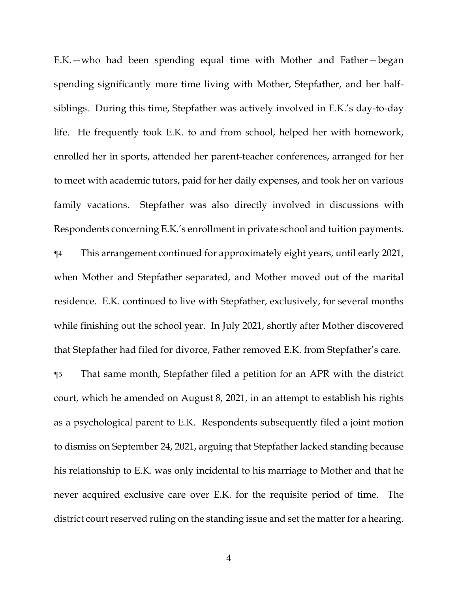E.K.—who had been spending equal time with Mother and Father—began spending significantly more time living with Mother, Stepfather, and her halfsiblings. During this time, Stepfather was actively involved in E.K.'s day-to-day life. He frequently took E.K. to and from school, helped her with homework, enrolled her in sports, attended her parent-teacher conferences, arranged for her to meet with academic tutors, paid for her daily expenses, and took her on various family vacations. Stepfather was also directly involved in discussions with Respondents concerning E.K.'s enrollment in private school and tuition payments. ¶4 This arrangement continued for approximately eight years, until early 2021,

when Mother and Stepfather separated, and Mother moved out of the marital residence. E.K. continued to live with Stepfather, exclusively, for several months while finishing out the school year. In July 2021, shortly after Mother discovered that Stepfather had filed for divorce, Father removed E.K. from Stepfather's care.

¶5 That same month, Stepfather filed a petition for an APR with the district court, which he amended on August 8, 2021, in an attempt to establish his rights as a psychological parent to E.K. Respondents subsequently filed a joint motion to dismiss on September 24, 2021, arguing that Stepfather lacked standing because his relationship to E.K. was only incidental to his marriage to Mother and that he never acquired exclusive care over E.K. for the requisite period of time. The district court reserved ruling on the standing issue and set the matter for a hearing.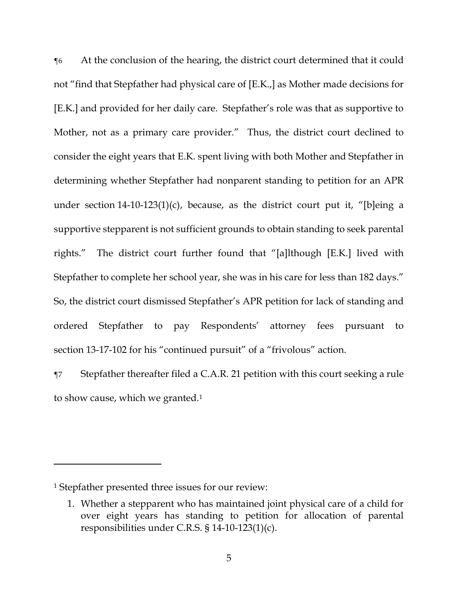¶6 At the conclusion of the hearing, the district court determined that it could not "find that Stepfather had physical care of [E.K.,] as Mother made decisions for [E.K.] and provided for her daily care. Stepfather's role was that as supportive to Mother, not as a primary care provider." Thus, the district court declined to consider the eight years that E.K. spent living with both Mother and Stepfather in determining whether Stepfather had nonparent standing to petition for an APR under section 14-10-123(1)(c), because, as the district court put it, "[b]eing a supportive stepparent is not sufficient grounds to obtain standing to seek parental rights." The district court further found that "[a]lthough [E.K.] lived with Stepfather to complete her school year, she was in his care for less than 182 days." So, the district court dismissed Stepfather's APR petition for lack of standing and ordered Stepfather to pay Respondents' attorney fees pursuant to section 13-17-102 for his "continued pursuit" of a "frivolous" action.

¶7 Stepfather thereafter filed a C.A.R. 21 petition with this court seeking a rule to show cause, which we granted.<sup>1</sup>

<sup>1</sup> Stepfather presented three issues for our review:

<sup>1.</sup> Whether a stepparent who has maintained joint physical care of a child for over eight years has standing to petition for allocation of parental responsibilities under C.R.S. § 14-10-123(1)(c).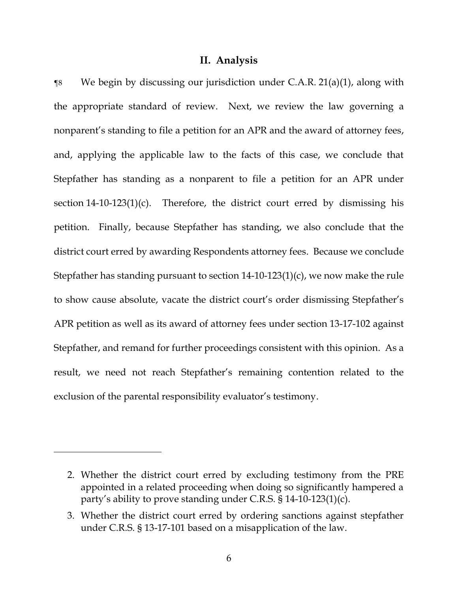### **II. Analysis**

 $\gamma$ 8 We begin by discussing our jurisdiction under C.A.R. 21(a)(1), along with the appropriate standard of review. Next, we review the law governing a nonparent's standing to file a petition for an APR and the award of attorney fees, and, applying the applicable law to the facts of this case, we conclude that Stepfather has standing as a nonparent to file a petition for an APR under section 14-10-123(1)(c). Therefore, the district court erred by dismissing his petition. Finally, because Stepfather has standing, we also conclude that the district court erred by awarding Respondents attorney fees. Because we conclude Stepfather has standing pursuant to section 14-10-123(1)(c), we now make the rule to show cause absolute, vacate the district court's order dismissing Stepfather's APR petition as well as its award of attorney fees under section 13-17-102 against Stepfather, and remand for further proceedings consistent with this opinion. As a result, we need not reach Stepfather's remaining contention related to the exclusion of the parental responsibility evaluator's testimony.

<sup>2.</sup> Whether the district court erred by excluding testimony from the PRE appointed in a related proceeding when doing so significantly hampered a party's ability to prove standing under C.R.S. § 14-10-123(1)(c).

<sup>3.</sup> Whether the district court erred by ordering sanctions against stepfather under C.R.S. § 13-17-101 based on a misapplication of the law.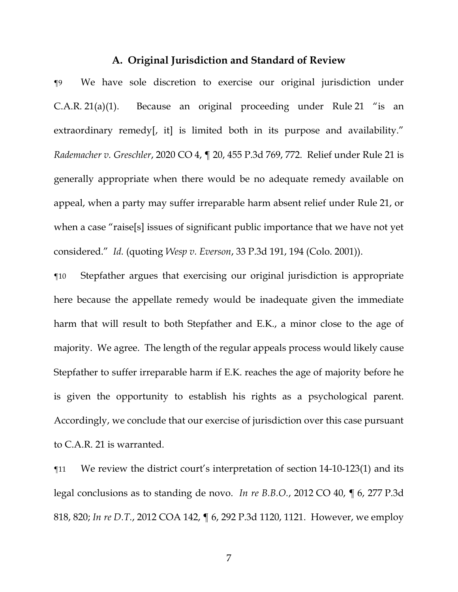#### **A. Original Jurisdiction and Standard of Review**

¶9 We have sole discretion to exercise our original jurisdiction under C.A.R. 21(a)(1). Because an original proceeding under Rule 21 "is an extraordinary remedy, it is limited both in its purpose and availability." *Rademacher v. Greschler*, 2020 CO 4, ¶ 20, 455 P.3d 769, 772. Relief under Rule 21 is generally appropriate when there would be no adequate remedy available on appeal, when a party may suffer irreparable harm absent relief under Rule 21, or when a case "raise[s] issues of significant public importance that we have not yet considered." *Id.* (quoting *Wesp v. Everson*, 33 P.3d 191, 194 (Colo. 2001)).

¶10 Stepfather argues that exercising our original jurisdiction is appropriate here because the appellate remedy would be inadequate given the immediate harm that will result to both Stepfather and E.K., a minor close to the age of majority. We agree. The length of the regular appeals process would likely cause Stepfather to suffer irreparable harm if E.K. reaches the age of majority before he is given the opportunity to establish his rights as a psychological parent. Accordingly, we conclude that our exercise of jurisdiction over this case pursuant to C.A.R. 21 is warranted.

¶11 We review the district court's interpretation of section 14-10-123(1) and its legal conclusions as to standing de novo. *In re B.B.O.*, 2012 CO 40, ¶ 6, 277 P.3d 818, 820; *In re D.T.*, 2012 COA 142, ¶ 6, 292 P.3d 1120, 1121. However, we employ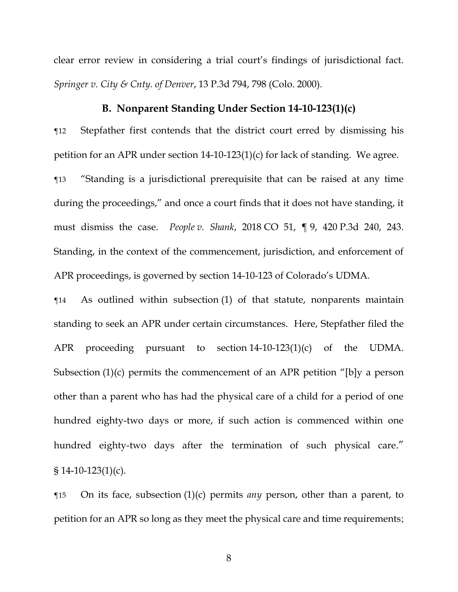clear error review in considering a trial court's findings of jurisdictional fact. *Springer v. City & Cnty. of Denver*, 13 P.3d 794, 798 (Colo. 2000).

## **B. Nonparent Standing Under Section 14-10-123(1)(c)**

¶12 Stepfather first contends that the district court erred by dismissing his petition for an APR under section 14-10-123(1)(c) for lack of standing. We agree.

¶13 "Standing is a jurisdictional prerequisite that can be raised at any time during the proceedings," and once a court finds that it does not have standing, it must dismiss the case. *People v. Shank*, 2018 CO 51, ¶ 9, 420 P.3d 240, 243. Standing, in the context of the commencement, jurisdiction, and enforcement of APR proceedings, is governed by section 14-10-123 of Colorado's UDMA.

¶14 As outlined within subsection (1) of that statute, nonparents maintain standing to seek an APR under certain circumstances. Here, Stepfather filed the APR proceeding pursuant to section 14-10-123(1)(c) of the UDMA. Subsection (1)(c) permits the commencement of an APR petition "[b]y a person other than a parent who has had the physical care of a child for a period of one hundred eighty-two days or more, if such action is commenced within one hundred eighty-two days after the termination of such physical care." § 14-10-123(1)(c).

¶15 On its face, subsection (1)(c) permits *any* person, other than a parent, to petition for an APR so long as they meet the physical care and time requirements;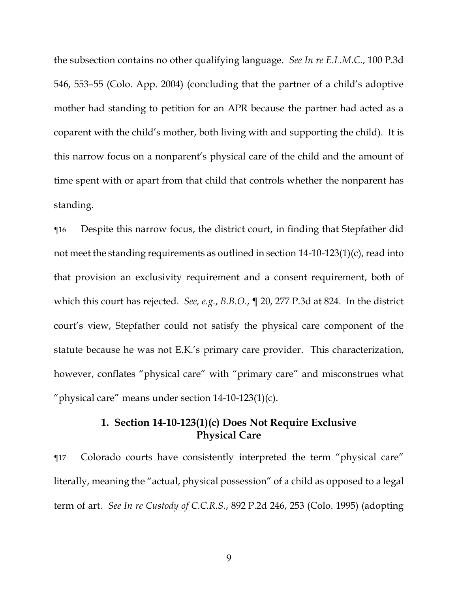the subsection contains no other qualifying language. *See In re E.L.M.C.*, 100 P.3d 546, 553–55 (Colo. App. 2004) (concluding that the partner of a child's adoptive mother had standing to petition for an APR because the partner had acted as a coparent with the child's mother, both living with and supporting the child). It is this narrow focus on a nonparent's physical care of the child and the amount of time spent with or apart from that child that controls whether the nonparent has standing.

¶16 Despite this narrow focus, the district court, in finding that Stepfather did not meet the standing requirements as outlined in section 14-10-123(1)(c), read into that provision an exclusivity requirement and a consent requirement, both of which this court has rejected. *See, e.g.*, *B.B.O.*, ¶ 20, 277 P.3d at 824. In the district court's view, Stepfather could not satisfy the physical care component of the statute because he was not E.K.'s primary care provider. This characterization, however, conflates "physical care" with "primary care" and misconstrues what "physical care" means under section 14-10-123(1)(c).

# **1. Section 14-10-123(1)(c) Does Not Require Exclusive Physical Care**

¶17 Colorado courts have consistently interpreted the term "physical care" literally, meaning the "actual, physical possession" of a child as opposed to a legal term of art. *See In re Custody of C.C.R.S.*, 892 P.2d 246, 253 (Colo. 1995) (adopting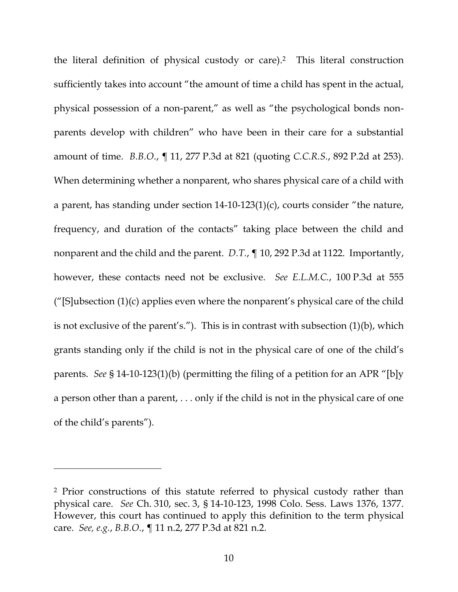the literal definition of physical custody or care).2 This literal construction sufficiently takes into account "the amount of time a child has spent in the actual, physical possession of a non-parent," as well as "the psychological bonds nonparents develop with children" who have been in their care for a substantial amount of time. *B.B.O.*, ¶ 11, 277 P.3d at 821 (quoting *C.C.R.S.*, 892 P.2d at 253). When determining whether a nonparent, who shares physical care of a child with a parent, has standing under section 14-10-123(1)(c), courts consider "the nature, frequency, and duration of the contacts" taking place between the child and nonparent and the child and the parent. *D.T.*, ¶ 10, 292 P.3d at 1122. Importantly, however, these contacts need not be exclusive. *See E.L.M.C.*, 100 P.3d at 555 ("[S]ubsection  $(1)(c)$  applies even where the nonparent's physical care of the child is not exclusive of the parent's."). This is in contrast with subsection (1)(b), which grants standing only if the child is not in the physical care of one of the child's parents. *See* § 14-10-123(1)(b) (permitting the filing of a petition for an APR "[b]y a person other than a parent, . . . only if the child is not in the physical care of one of the child's parents").

<sup>2</sup> Prior constructions of this statute referred to physical custody rather than physical care. *See* Ch. 310, sec. 3, § 14-10-123, 1998 Colo. Sess. Laws 1376, 1377. However, this court has continued to apply this definition to the term physical care. *See, e.g.*, *B.B.O.*, ¶ 11 n.2, 277 P.3d at 821 n.2.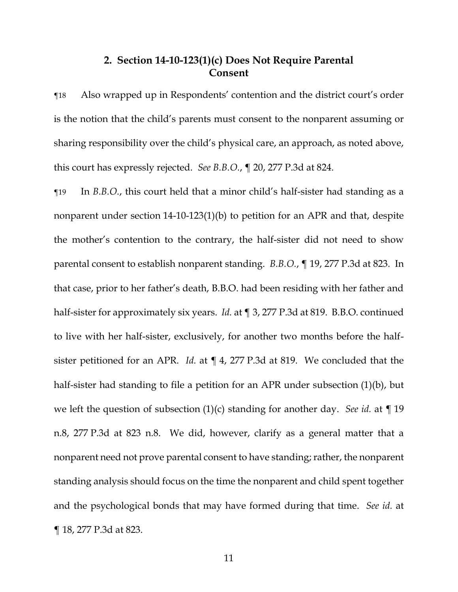# **2. Section 14-10-123(1)(c) Does Not Require Parental Consent**

¶18 Also wrapped up in Respondents' contention and the district court's order is the notion that the child's parents must consent to the nonparent assuming or sharing responsibility over the child's physical care, an approach, as noted above, this court has expressly rejected. *See B.B.O.*, ¶ 20, 277 P.3d at 824.

¶19 In *B.B.O.*, this court held that a minor child's half-sister had standing as a nonparent under section 14-10-123(1)(b) to petition for an APR and that, despite the mother's contention to the contrary, the half-sister did not need to show parental consent to establish nonparent standing. *B.B.O.*, ¶ 19, 277 P.3d at 823. In that case, prior to her father's death, B.B.O. had been residing with her father and half-sister for approximately six years. *Id.* at ¶ 3, 277 P.3d at 819. B.B.O. continued to live with her half-sister, exclusively, for another two months before the halfsister petitioned for an APR. *Id.* at ¶ 4, 277 P.3d at 819. We concluded that the half-sister had standing to file a petition for an APR under subsection (1)(b), but we left the question of subsection (1)(c) standing for another day. *See id.* at ¶ 19 n.8, 277 P.3d at 823 n.8. We did, however, clarify as a general matter that a nonparent need not prove parental consent to have standing; rather, the nonparent standing analysis should focus on the time the nonparent and child spent together and the psychological bonds that may have formed during that time. *See id.* at ¶ 18, 277 P.3d at 823.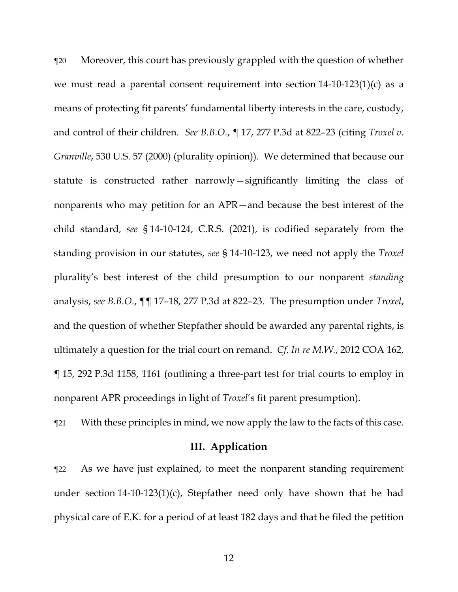¶20 Moreover, this court has previously grappled with the question of whether we must read a parental consent requirement into section 14-10-123(1)(c) as a means of protecting fit parents' fundamental liberty interests in the care, custody, and control of their children. *See B.B.O.*, ¶ 17, 277 P.3d at 822–23 (citing *Troxel v. Granville*, 530 U.S. 57 (2000) (plurality opinion)). We determined that because our statute is constructed rather narrowly—significantly limiting the class of nonparents who may petition for an APR—and because the best interest of the child standard, *see* § 14-10-124, C.R.S. (2021), is codified separately from the standing provision in our statutes, *see* § 14-10-123, we need not apply the *Troxel* plurality's best interest of the child presumption to our nonparent *standing* analysis, *see B.B.O.*, ¶¶ 17–18, 277 P.3d at 822–23. The presumption under *Troxel*, and the question of whether Stepfather should be awarded any parental rights, is ultimately a question for the trial court on remand. *Cf. In re M.W.*, 2012 COA 162, ¶ 15, 292 P.3d 1158, 1161 (outlining a three-part test for trial courts to employ in nonparent APR proceedings in light of *Troxel*'s fit parent presumption).

¶21 With these principles in mind, we now apply the law to the facts of this case.

#### **III. Application**

¶22 As we have just explained, to meet the nonparent standing requirement under section 14-10-123(1)(c), Stepfather need only have shown that he had physical care of E.K. for a period of at least 182 days and that he filed the petition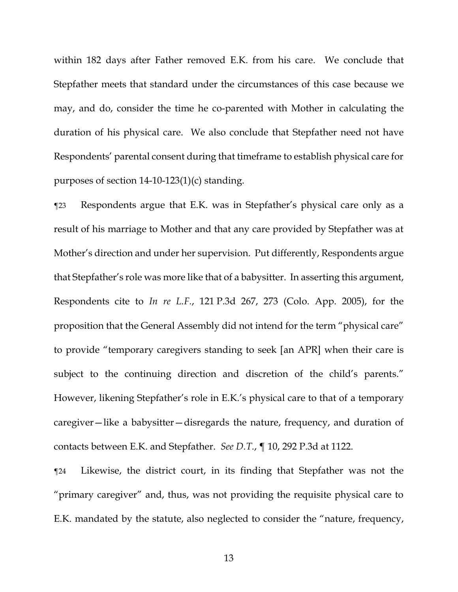within 182 days after Father removed E.K. from his care. We conclude that Stepfather meets that standard under the circumstances of this case because we may, and do, consider the time he co-parented with Mother in calculating the duration of his physical care. We also conclude that Stepfather need not have Respondents' parental consent during that timeframe to establish physical care for purposes of section 14-10-123(1)(c) standing.

¶23 Respondents argue that E.K. was in Stepfather's physical care only as a result of his marriage to Mother and that any care provided by Stepfather was at Mother's direction and under her supervision. Put differently, Respondents argue that Stepfather's role was more like that of a babysitter. In asserting this argument, Respondents cite to *In re L.F.*, 121 P.3d 267, 273 (Colo. App. 2005), for the proposition that the General Assembly did not intend for the term "physical care" to provide "temporary caregivers standing to seek [an APR] when their care is subject to the continuing direction and discretion of the child's parents." However, likening Stepfather's role in E.K.'s physical care to that of a temporary caregiver—like a babysitter—disregards the nature, frequency, and duration of contacts between E.K. and Stepfather. *See D.T.*, ¶ 10, 292 P.3d at 1122.

¶24 Likewise, the district court, in its finding that Stepfather was not the "primary caregiver" and, thus, was not providing the requisite physical care to E.K. mandated by the statute, also neglected to consider the "nature, frequency,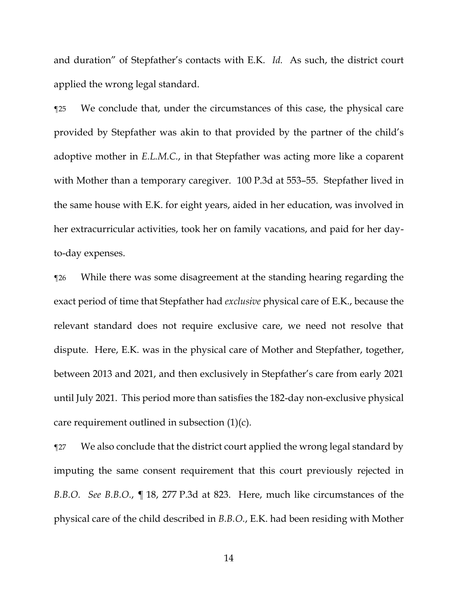and duration" of Stepfather's contacts with E.K. *Id.* As such, the district court applied the wrong legal standard.

¶25 We conclude that, under the circumstances of this case, the physical care provided by Stepfather was akin to that provided by the partner of the child's adoptive mother in *E.L.M.C.*, in that Stepfather was acting more like a coparent with Mother than a temporary caregiver. 100 P.3d at 553–55. Stepfather lived in the same house with E.K. for eight years, aided in her education, was involved in her extracurricular activities, took her on family vacations, and paid for her dayto-day expenses.

¶26 While there was some disagreement at the standing hearing regarding the exact period of time that Stepfather had *exclusive* physical care of E.K., because the relevant standard does not require exclusive care, we need not resolve that dispute. Here, E.K. was in the physical care of Mother and Stepfather, together, between 2013 and 2021, and then exclusively in Stepfather's care from early 2021 until July 2021. This period more than satisfies the 182-day non-exclusive physical care requirement outlined in subsection  $(1)(c)$ .

¶27 We also conclude that the district court applied the wrong legal standard by imputing the same consent requirement that this court previously rejected in *B.B.O. See B.B.O.*, ¶ 18, 277 P.3d at 823. Here, much like circumstances of the physical care of the child described in *B.B.O.*, E.K. had been residing with Mother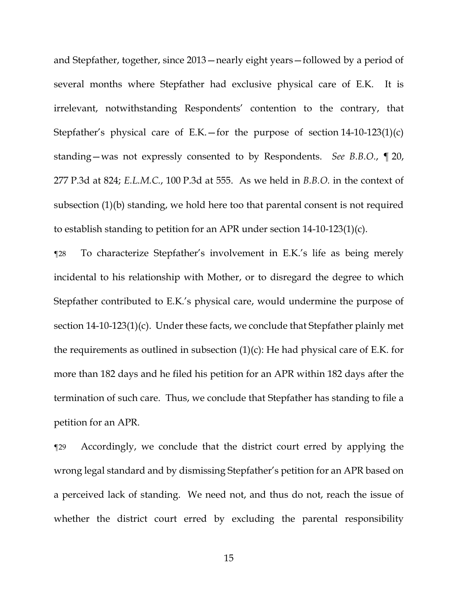and Stepfather, together, since 2013—nearly eight years—followed by a period of several months where Stepfather had exclusive physical care of E.K. It is irrelevant, notwithstanding Respondents' contention to the contrary, that Stepfather's physical care of E.K.—for the purpose of section  $14{\text -}10{\text -}123(1)(c)$ standing—was not expressly consented to by Respondents. *See B.B.O.*, ¶ 20, 277 P.3d at 824; *E.L.M.C.*, 100 P.3d at 555. As we held in *B.B.O.* in the context of subsection (1)(b) standing, we hold here too that parental consent is not required to establish standing to petition for an APR under section 14-10-123(1)(c).

¶28 To characterize Stepfather's involvement in E.K.'s life as being merely incidental to his relationship with Mother, or to disregard the degree to which Stepfather contributed to E.K.'s physical care, would undermine the purpose of section 14-10-123(1)(c). Under these facts, we conclude that Stepfather plainly met the requirements as outlined in subsection  $(1)(c)$ : He had physical care of E.K. for more than 182 days and he filed his petition for an APR within 182 days after the termination of such care. Thus, we conclude that Stepfather has standing to file a petition for an APR.

¶29 Accordingly, we conclude that the district court erred by applying the wrong legal standard and by dismissing Stepfather's petition for an APR based on a perceived lack of standing. We need not, and thus do not, reach the issue of whether the district court erred by excluding the parental responsibility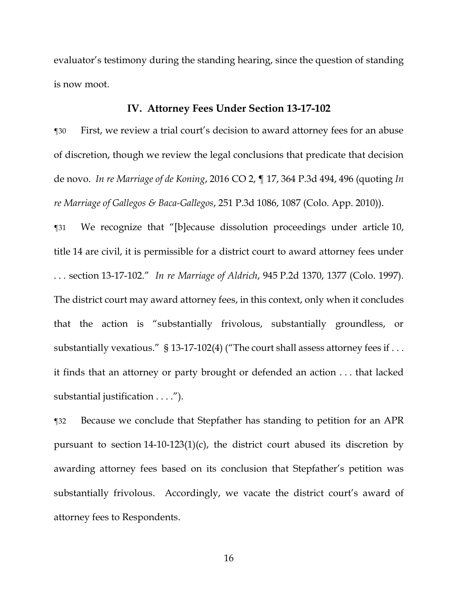evaluator's testimony during the standing hearing, since the question of standing is now moot.

#### **IV. Attorney Fees Under Section 13-17-102**

¶30 First, we review a trial court's decision to award attorney fees for an abuse of discretion, though we review the legal conclusions that predicate that decision de novo. *In re Marriage of de Koning*, 2016 CO 2, ¶ 17, 364 P.3d 494, 496 (quoting *In re Marriage of Gallegos & Baca-Gallegos*, 251 P.3d 1086, 1087 (Colo. App. 2010)).

¶31 We recognize that "[b]ecause dissolution proceedings under article 10, title 14 are civil, it is permissible for a district court to award attorney fees under . . . section 13-17-102." *In re Marriage of Aldrich*, 945 P.2d 1370, 1377 (Colo. 1997). The district court may award attorney fees, in this context, only when it concludes that the action is "substantially frivolous, substantially groundless, or substantially vexatious." § 13-17-102(4) ("The court shall assess attorney fees if . . . it finds that an attorney or party brought or defended an action . . . that lacked substantial justification . . . .").

¶32 Because we conclude that Stepfather has standing to petition for an APR pursuant to section 14-10-123(1)(c), the district court abused its discretion by awarding attorney fees based on its conclusion that Stepfather's petition was substantially frivolous. Accordingly, we vacate the district court's award of attorney fees to Respondents.